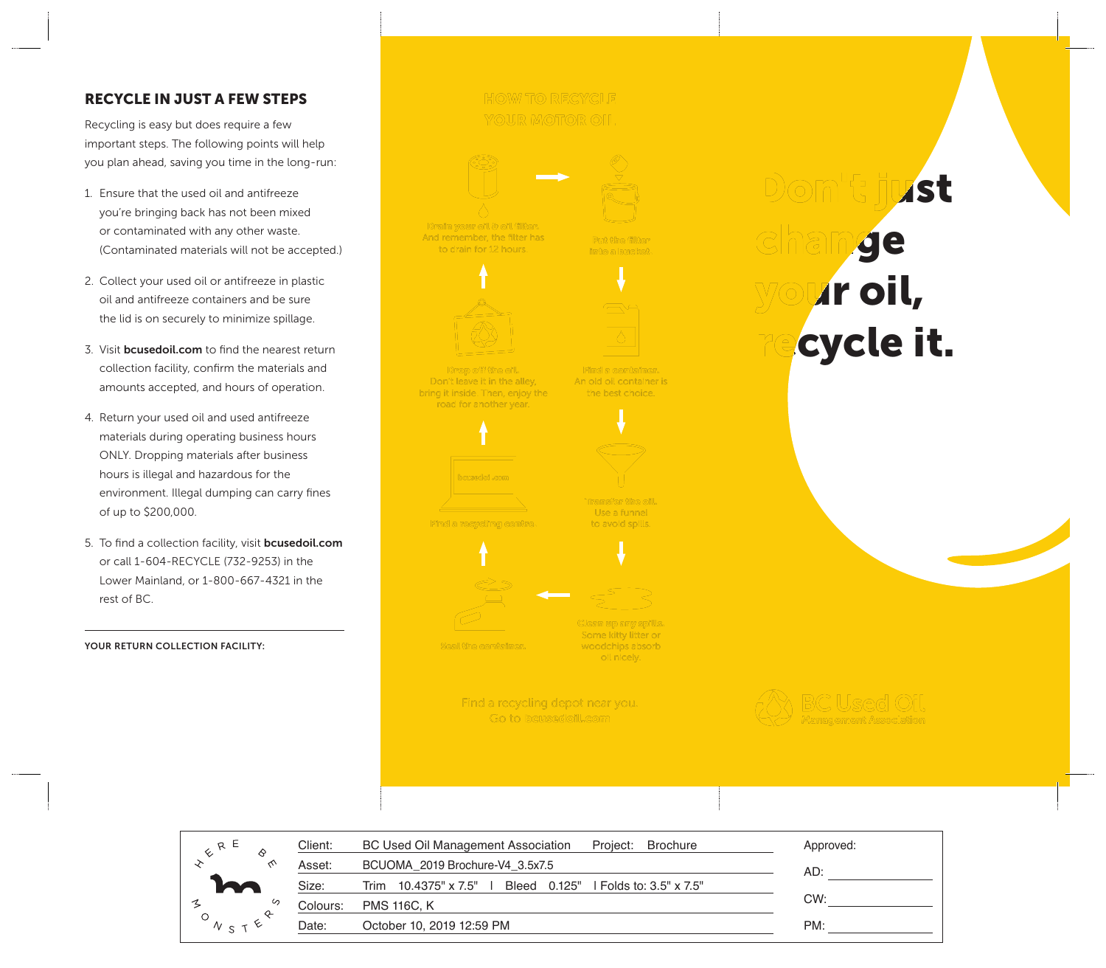## RECYCLE IN JUST A FEW STEPS

Recycling is easy but does require a few important steps. The following points will help you plan ahead, saving you time in the long-run:

- 1. Ensure that the used oil and antifreeze you're bringing back has not been mixed or contaminated with any other waste. (Contaminated materials will not be accepted.)
- 2. Collect your used oil or antifreeze in plastic oil and antifreeze containers and be sure the lid is on securely to minimize spillage.
- 3. Visit **bcusedoil.com** to find the nearest return collection facility, confirm the materials and amounts accepted, and hours of operation.
- 4. Return your used oil and used antifreeze materials during operating business hours ONLY. Dropping materials after business hours is illegal and hazardous for the environment. Illegal dumping can carry fines of up to \$200,000.
- 5. To find a collection facility, visit **bcusedoil.com** or call 1-604-RECYCLE (732-9253) in the Lower Mainland, or 1-800-667-4321 in the rest of BC.

YOUR RETURN COLLECTION FACILITY:

# **HOW TO RECYCLE YOUR MOTOR OIL**



Drain your oil & oil filter. And remember, the filter has to drain for 12 hours.

Put the filter into a bucket.



Drop off the oil. Don't leave it in the alley, bring it inside. Then, enjoy the road for another year.

Find a container. An old oil container is the best choice.



Find a recycling centre.

Transfer the oil. Use a funnel

to avoid spills.



Clean up any spills.

Seal the container.

Some kitty litter or woodchips absorb oil nicely.

Find a recycling depot near you. Go to bewsedoill.com



Don t just ge **Ar oil,** cycle it.